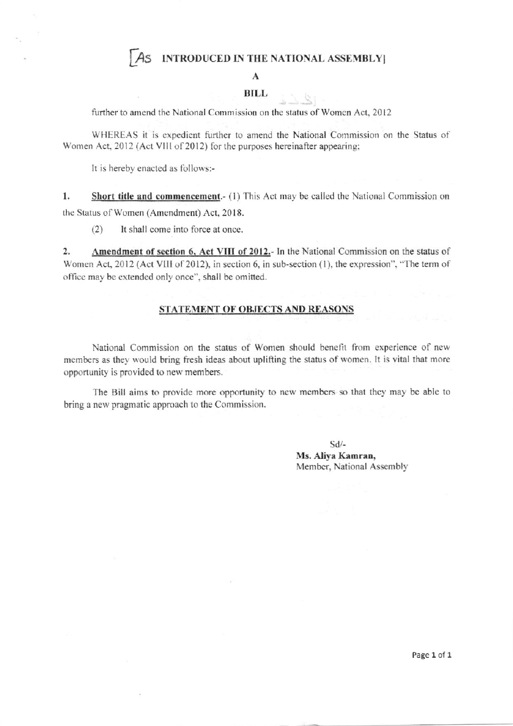## AS INTRODUCED IN THE NATIONAL ASSEMBLY

#### $\mathbf{A}$

### **BILL**

further to amend the National Commission on the status of Women Act, 2012

WHEREAS it is expedient further to amend the National Commission on the Status of Women Act, 2012 (Act VIII of 2012) for the purposes hereinafter appearing;

It is hereby enacted as follows:-

 $1.$ **Short title and commencement.** (1) This Act may be called the National Commission on the Status of Women (Amendment) Act, 2018.

 $(2)$ It shall come into force at once.

 $\overline{2}$ . Amendment of section 6, Act VIII of 2012.- In the National Commission on the status of Women Act, 2012 (Act VIII of 2012), in section 6, in sub-section (1), the expression", "The term of office may be extended only once", shall be omitted.

#### STATEMENT OF OBJECTS AND REASONS

National Commission on the status of Women should benefit from experience of new members as they would bring fresh ideas about uplifting the status of women. It is vital that more opportunity is provided to new members.

The Bill aims to provide more opportunity to new members so that they may be able to bring a new pragmatic approach to the Commission.

> $Sd$ -Ms. Aliya Kamran, Member, National Assembly